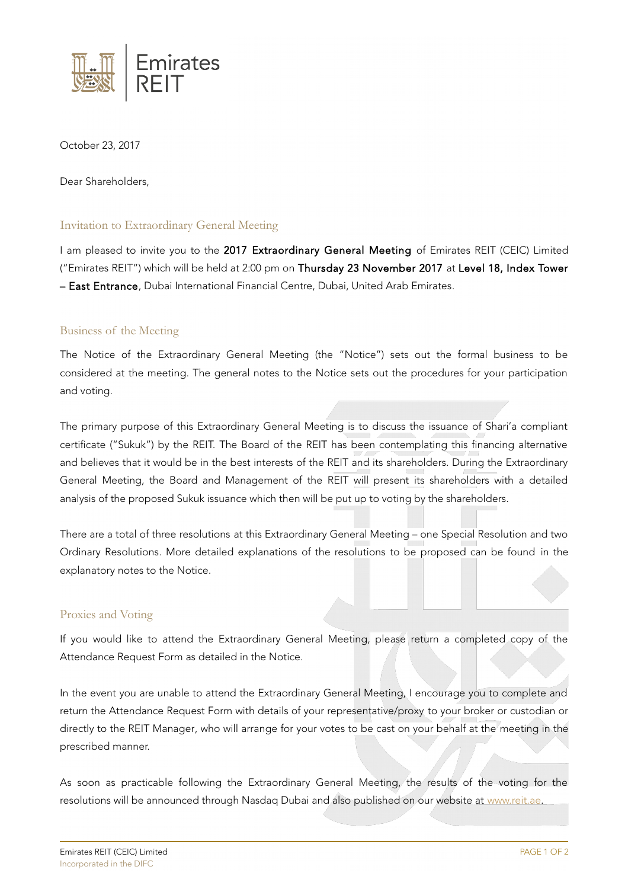

October 23, 2017

Dear Shareholders,

## Invitation to Extraordinary General Meeting

I am pleased to invite you to the 2017 Extraordinary General Meeting of Emirates REIT (CEIC) Limited ("Emirates REIT") which will be held at 2:00 pm on Thursday 23 November 2017 at Level 18, Index Tower – East Entrance, Dubai International Financial Centre, Dubai, United Arab Emirates.

## Business of the Meeting

The Notice of the Extraordinary General Meeting (the "Notice") sets out the formal business to be considered at the meeting. The general notes to the Notice sets out the procedures for your participation and voting.

The primary purpose of this Extraordinary General Meeting is to discuss the issuance of Shari'a compliant certificate ("Sukuk") by the REIT. The Board of the REIT has been contemplating this financing alternative and believes that it would be in the best interests of the REIT and its shareholders. During the Extraordinary General Meeting, the Board and Management of the REIT will present its shareholders with a detailed analysis of the proposed Sukuk issuance which then will be put up to voting by the shareholders.

There are a total of three resolutions at this Extraordinary General Meeting – one Special Resolution and two Ordinary Resolutions. More detailed explanations of the resolutions to be proposed can be found in the explanatory notes to the Notice.

## Proxies and Voting

If you would like to attend the Extraordinary General Meeting, please return a completed copy of the Attendance Request Form as detailed in the Notice.

In the event you are unable to attend the Extraordinary General Meeting, I encourage you to complete and return the Attendance Request Form with details of your representative/proxy to your broker or custodian or directly to the REIT Manager, who will arrange for your votes to be cast on your behalf at the meeting in the prescribed manner.

As soon as practicable following the Extraordinary General Meeting, the results of the voting for the resolutions will be announced through Nasdaq Dubai and also published on our website at [www.reit.ae.](http://www.reit.ae/)